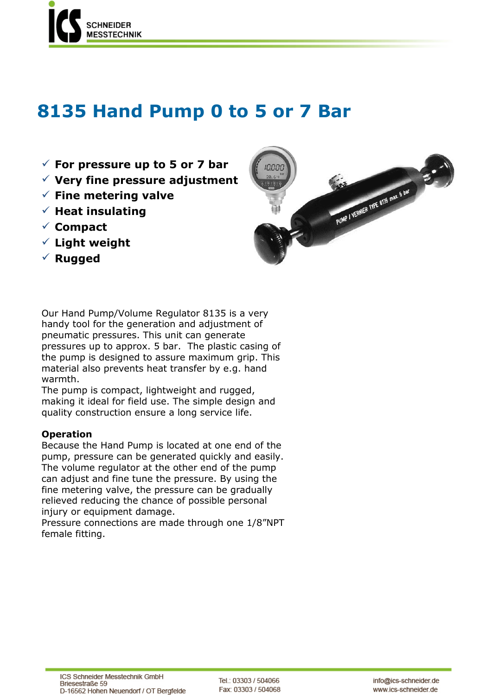

# **8135 Hand Pump 0 to 5 or 7 Bar**

- **For pressure up to 5 or 7 bar**
- **Very fine pressure adjustment**
- **Fine metering valve**
- $\checkmark$  Heat insulating
- **Compact**
- **Light weight**
- **Rugged**



Our Hand Pump/Volume Regulator 8135 is a very handy tool for the generation and adjustment of pneumatic pressures. This unit can generate pressures up to approx. 5 bar. The plastic casing of the pump is designed to assure maximum grip. This material also prevents heat transfer by e.g. hand warmth.

The pump is compact, lightweight and rugged, making it ideal for field use. The simple design and quality construction ensure a long service life.

## **Operation**

Because the Hand Pump is located at one end of the pump, pressure can be generated quickly and easily. The volume regulator at the other end of the pump can adjust and fine tune the pressure. By using the fine metering valve, the pressure can be gradually relieved reducing the chance of possible personal injury or equipment damage.

Pressure connections are made through one 1/8"NPT female fitting.